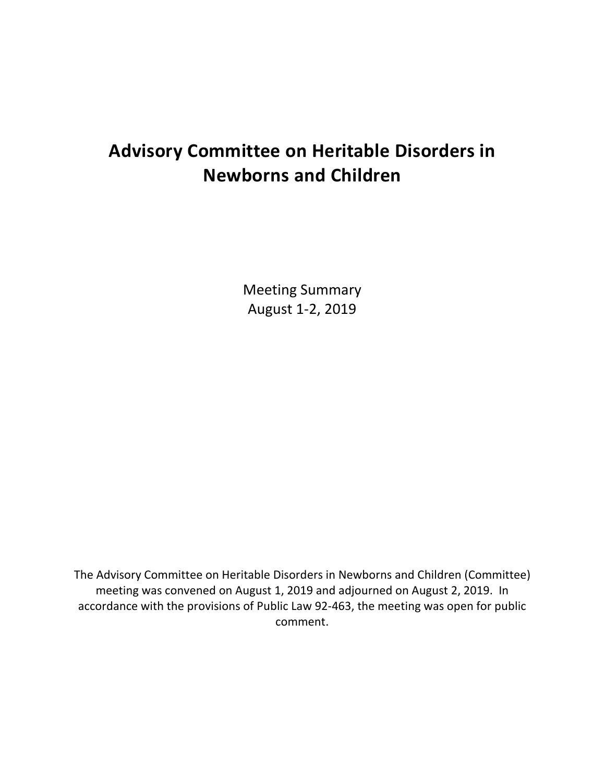# **Advisory Committee on Heritable Disorders in Newborns and Children**

Meeting Summary August 1-2, 2019

The Advisory Committee on Heritable Disorders in Newborns and Children (Committee) meeting was convened on August 1, 2019 and adjourned on August 2, 2019. In accordance with the provisions of Public Law 92-463, the meeting was open for public comment.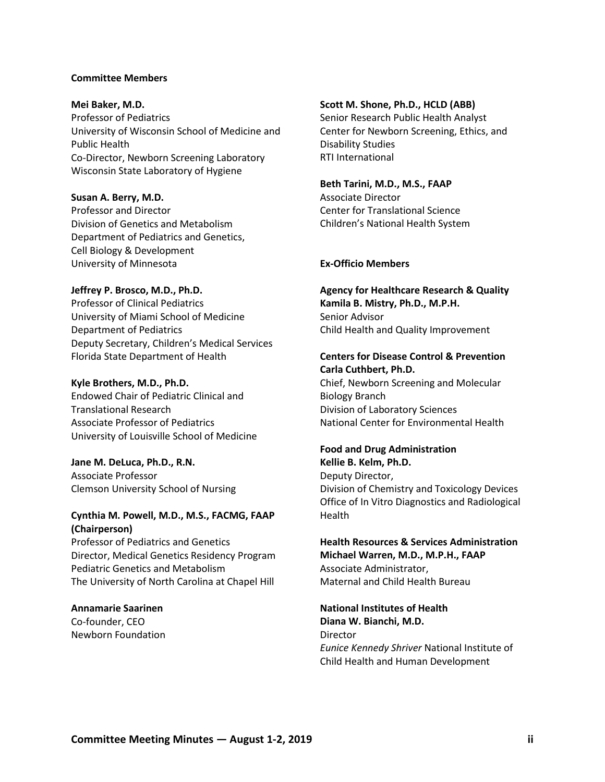#### **Committee Members**

**Mei Baker, M.D.**  Professor of Pediatrics University of Wisconsin School of Medicine and Public Health Co-Director, Newborn Screening Laboratory Wisconsin State Laboratory of Hygiene

**Susan A. Berry, M.D.** Professor and Director Division of Genetics and Metabolism Department of Pediatrics and Genetics, Cell Biology & Development University of Minnesota

#### **Jeffrey P. Brosco, M.D., Ph.D.**

Professor of Clinical Pediatrics University of Miami School of Medicine Department of Pediatrics Deputy Secretary, Children's Medical Services Florida State Department of Health

#### **Kyle Brothers, M.D., Ph.D.**

Endowed Chair of Pediatric Clinical and Translational Research Associate Professor of Pediatrics University of Louisville School of Medicine

**Jane M. DeLuca, Ph.D., R.N.** Associate Professor Clemson University School of Nursing

#### **Cynthia M. Powell, M.D., M.S., FACMG, FAAP (Chairperson)**

Professor of Pediatrics and Genetics Director, Medical Genetics Residency Program Pediatric Genetics and Metabolism The University of North Carolina at Chapel Hill

**Annamarie Saarinen** Co-founder, CEO Newborn Foundation

#### **Scott M. Shone, Ph.D., HCLD (ABB)**

Senior Research Public Health Analyst Center for Newborn Screening, Ethics, and Disability Studies RTI International

#### **Beth Tarini, M.D., M.S., FAAP**

Associate Director Center for Translational Science Children's National Health System

#### **Ex-Officio Members**

**Agency for Healthcare Research & Quality Kamila B. Mistry, Ph.D., M.P.H.** Senior Advisor Child Health and Quality Improvement

#### **Centers for Disease Control & Prevention Carla Cuthbert, Ph.D.**

Chief, Newborn Screening and Molecular Biology Branch Division of Laboratory Sciences National Center for Environmental Health

### **Food and Drug Administration**

**Kellie B. Kelm, Ph.D.** Deputy Director, Division of Chemistry and Toxicology Devices Office of In Vitro Diagnostics and Radiological Health

**Health Resources & Services Administration Michael Warren, M.D., M.P.H., FAAP** Associate Administrator, Maternal and Child Health Bureau

**National Institutes of Health Diana W. Bianchi, M.D. Director** *Eunice Kennedy Shriver* National Institute of Child Health and Human Development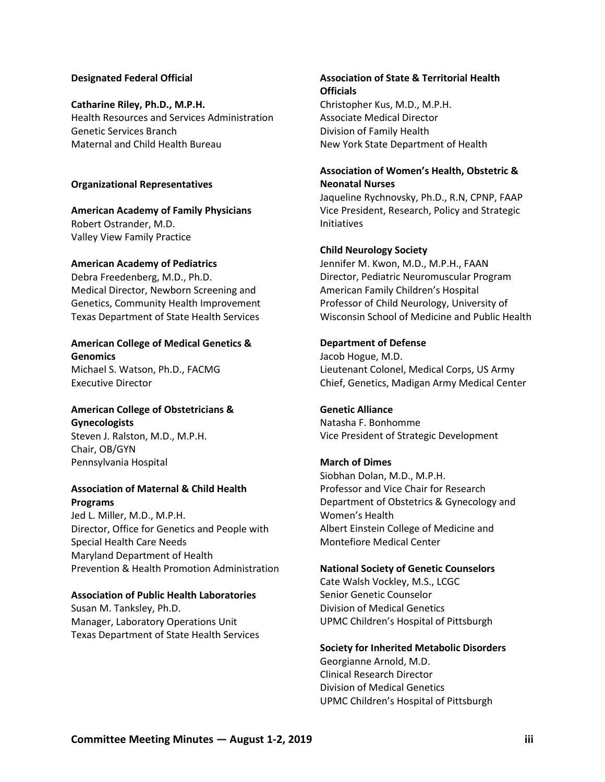#### **Designated Federal Official**

#### **Catharine Riley, Ph.D., M.P.H.**

Health Resources and Services Administration Genetic Services Branch Maternal and Child Health Bureau

#### **Organizational Representatives**

**American Academy of Family Physicians**  Robert Ostrander, M.D. Valley View Family Practice

#### **American Academy of Pediatrics**

Debra Freedenberg, M.D., Ph.D. Medical Director, Newborn Screening and Genetics, Community Health Improvement Texas Department of State Health Services

#### **American College of Medical Genetics & Genomics**

Michael S. Watson, Ph.D., FACMG Executive Director

#### **American College of Obstetricians & Gynecologists**

Steven J. Ralston, M.D., M.P.H. Chair, OB/GYN Pennsylvania Hospital

#### **Association of Maternal & Child Health Programs**

Jed L. Miller, M.D., M.P.H. Director, Office for Genetics and People with Special Health Care Needs Maryland Department of Health Prevention & Health Promotion Administration

#### **Association of Public Health Laboratories**

Susan M. Tanksley, Ph.D. Manager, Laboratory Operations Unit Texas Department of State Health Services

#### **Association of State & Territorial Health Officials** Christopher Kus, M.D., M.P.H.

Associate Medical Director Division of Family Health New York State Department of Health

#### **Association of Women's Health, Obstetric & Neonatal Nurses**

Jaqueline Rychnovsky, Ph.D., R.N, CPNP, FAAP Vice President, Research, Policy and Strategic Initiatives

#### **Child Neurology Society**

Jennifer M. Kwon, M.D., M.P.H., FAAN Director, Pediatric Neuromuscular Program American Family Children's Hospital Professor of Child Neurology, University of Wisconsin School of Medicine and Public Health

#### **Department of Defense**

Jacob Hogue, M.D. Lieutenant Colonel, Medical Corps, US Army Chief, Genetics, Madigan Army Medical Center

#### **Genetic Alliance**

Natasha F. Bonhomme Vice President of Strategic Development

#### **March of Dimes**

Siobhan Dolan, M.D., M.P.H. Professor and Vice Chair for Research Department of Obstetrics & Gynecology and Women's Health Albert Einstein College of Medicine and Montefiore Medical Center

#### **National Society of Genetic Counselors**

Cate Walsh Vockley, M.S., LCGC Senior Genetic Counselor Division of Medical Genetics UPMC Children's Hospital of Pittsburgh

#### **Society for Inherited Metabolic Disorders**

Georgianne Arnold, M.D. Clinical Research Director Division of Medical Genetics UPMC Children's Hospital of Pittsburgh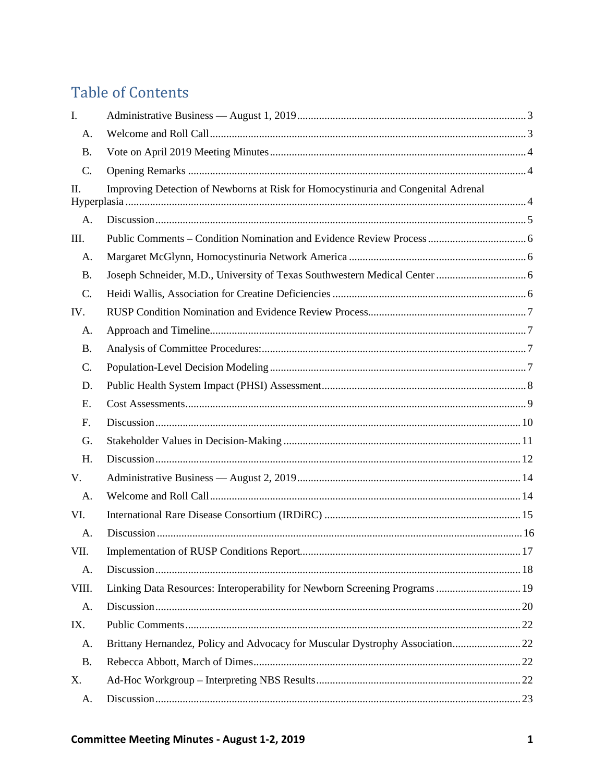# **Table of Contents**

| I.        |                                                                                   |  |
|-----------|-----------------------------------------------------------------------------------|--|
| A.        |                                                                                   |  |
| <b>B.</b> |                                                                                   |  |
| C.        |                                                                                   |  |
| П.        | Improving Detection of Newborns at Risk for Homocystinuria and Congenital Adrenal |  |
| A.        |                                                                                   |  |
| III.      |                                                                                   |  |
| A.        |                                                                                   |  |
| <b>B.</b> |                                                                                   |  |
| C.        |                                                                                   |  |
| IV.       |                                                                                   |  |
| A.        |                                                                                   |  |
| <b>B.</b> |                                                                                   |  |
| C.        |                                                                                   |  |
| D.        |                                                                                   |  |
| Е.        |                                                                                   |  |
| F.        |                                                                                   |  |
| G.        |                                                                                   |  |
| Η.        |                                                                                   |  |
| V.        |                                                                                   |  |
| A.        |                                                                                   |  |
| VI.       |                                                                                   |  |
| A.        |                                                                                   |  |
| VII.      |                                                                                   |  |
| A.        |                                                                                   |  |
| VIII.     | Linking Data Resources: Interoperability for Newborn Screening Programs  19       |  |
| A.        |                                                                                   |  |
| IX.       |                                                                                   |  |
| A.        | Brittany Hernandez, Policy and Advocacy for Muscular Dystrophy Association22      |  |
| <b>B.</b> |                                                                                   |  |
| Χ.        |                                                                                   |  |
| A.        |                                                                                   |  |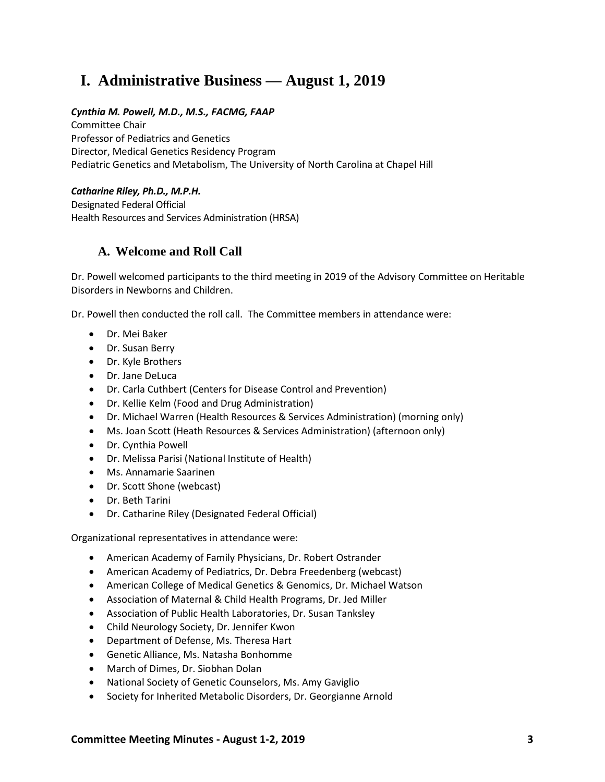# <span id="page-5-0"></span>**I. Administrative Business — August 1, 2019**

### *Cynthia M. Powell, M.D., M.S., FACMG, FAAP*

Committee Chair Professor of Pediatrics and Genetics Director, Medical Genetics Residency Program Pediatric Genetics and Metabolism, The University of North Carolina at Chapel Hill

### *Catharine Riley, Ph.D., M.P.H.*

Designated Federal Official Health Resources and Services Administration (HRSA)

## <span id="page-5-1"></span>**A. Welcome and Roll Call**

Dr. Powell welcomed participants to the third meeting in 2019 of the Advisory Committee on Heritable Disorders in Newborns and Children.

Dr. Powell then conducted the roll call. The Committee members in attendance were:

- Dr. Mei Baker
- Dr. Susan Berry
- Dr. Kyle Brothers
- Dr. Jane DeLuca
- Dr. Carla Cuthbert (Centers for Disease Control and Prevention)
- Dr. Kellie Kelm (Food and Drug Administration)
- Dr. Michael Warren (Health Resources & Services Administration) (morning only)
- Ms. Joan Scott (Heath Resources & Services Administration) (afternoon only)
- Dr. Cynthia Powell
- Dr. Melissa Parisi (National Institute of Health)
- Ms. Annamarie Saarinen
- Dr. Scott Shone (webcast)
- Dr. Beth Tarini
- Dr. Catharine Riley (Designated Federal Official)

Organizational representatives in attendance were:

- American Academy of Family Physicians, Dr. Robert Ostrander
- American Academy of Pediatrics, Dr. Debra Freedenberg (webcast)
- American College of Medical Genetics & Genomics, Dr. Michael Watson
- Association of Maternal & Child Health Programs, Dr. Jed Miller
- Association of Public Health Laboratories, Dr. Susan Tanksley
- Child Neurology Society, Dr. Jennifer Kwon
- Department of Defense, Ms. Theresa Hart
- Genetic Alliance, Ms. Natasha Bonhomme
- March of Dimes, Dr. Siobhan Dolan
- National Society of Genetic Counselors, Ms. Amy Gaviglio
- Society for Inherited Metabolic Disorders, Dr. Georgianne Arnold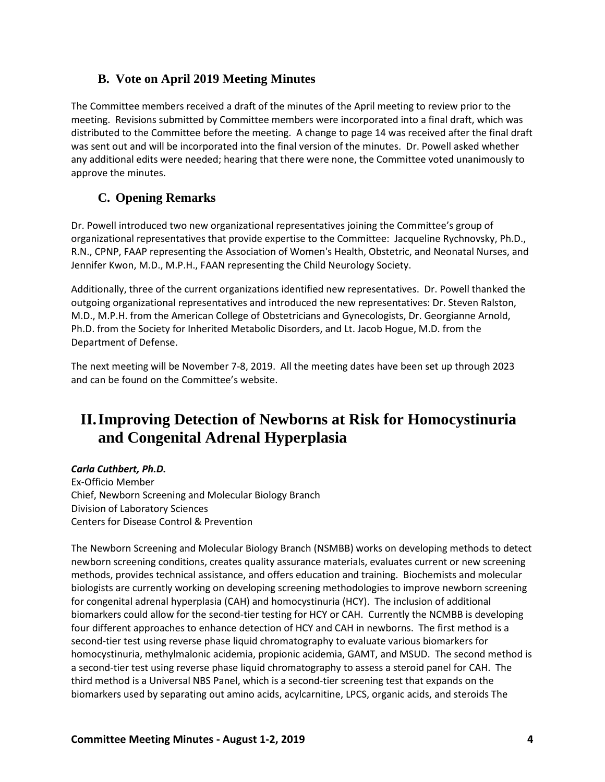## <span id="page-6-0"></span>**B. Vote on April 2019 Meeting Minutes**

The Committee members received a draft of the minutes of the April meeting to review prior to the meeting. Revisions submitted by Committee members were incorporated into a final draft, which was distributed to the Committee before the meeting. A change to page 14 was received after the final draft was sent out and will be incorporated into the final version of the minutes. Dr. Powell asked whether any additional edits were needed; hearing that there were none, the Committee voted unanimously to approve the minutes.

## <span id="page-6-1"></span>**C. Opening Remarks**

Dr. Powell introduced two new organizational representatives joining the Committee's group of organizational representatives that provide expertise to the Committee: Jacqueline Rychnovsky, Ph.D., R.N., CPNP, FAAP representing the Association of Women's Health, Obstetric, and Neonatal Nurses, and Jennifer Kwon, M.D., M.P.H., FAAN representing the Child Neurology Society.

Additionally, three of the current organizations identified new representatives. Dr. Powell thanked the outgoing organizational representatives and introduced the new representatives: Dr. Steven Ralston, M.D., M.P.H. from the American College of Obstetricians and Gynecologists, Dr. Georgianne Arnold, Ph.D. from the Society for Inherited Metabolic Disorders, and Lt. Jacob Hogue, M.D. from the Department of Defense.

The next meeting will be November 7-8, 2019. All the meeting dates have been set up through 2023 and can be found on the Committee's website.

# <span id="page-6-2"></span>**II.Improving Detection of Newborns at Risk for Homocystinuria and Congenital Adrenal Hyperplasia**

### *Carla Cuthbert, Ph.D.*

Ex-Officio Member Chief, Newborn Screening and Molecular Biology Branch Division of Laboratory Sciences Centers for Disease Control & Prevention

The Newborn Screening and Molecular Biology Branch (NSMBB) works on developing methods to detect newborn screening conditions, creates quality assurance materials, evaluates current or new screening methods, provides technical assistance, and offers education and training. Biochemists and molecular biologists are currently working on developing screening methodologies to improve newborn screening for congenital adrenal hyperplasia (CAH) and homocystinuria (HCY). The inclusion of additional biomarkers could allow for the second-tier testing for HCY or CAH. Currently the NCMBB is developing four different approaches to enhance detection of HCY and CAH in newborns. The first method is a second-tier test using reverse phase liquid chromatography to evaluate various biomarkers for homocystinuria, methylmalonic acidemia, propionic acidemia, GAMT, and MSUD. The second method is a second-tier test using reverse phase liquid chromatography to assess a steroid panel for CAH. The third method is a Universal NBS Panel, which is a second-tier screening test that expands on the biomarkers used by separating out amino acids, acylcarnitine, LPCS, organic acids, and steroids The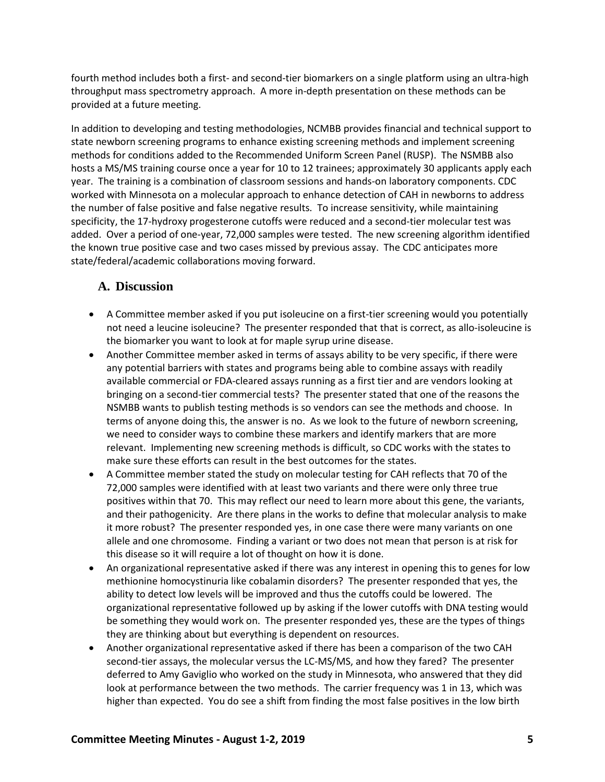fourth method includes both a first- and second-tier biomarkers on a single platform using an ultra-high throughput mass spectrometry approach. A more in-depth presentation on these methods can be provided at a future meeting.

In addition to developing and testing methodologies, NCMBB provides financial and technical support to state newborn screening programs to enhance existing screening methods and implement screening methods for conditions added to the Recommended Uniform Screen Panel (RUSP). The NSMBB also hosts a MS/MS training course once a year for 10 to 12 trainees; approximately 30 applicants apply each year. The training is a combination of classroom sessions and hands-on laboratory components. CDC worked with Minnesota on a molecular approach to enhance detection of CAH in newborns to address the number of false positive and false negative results. To increase sensitivity, while maintaining specificity, the 17-hydroxy progesterone cutoffs were reduced and a second-tier molecular test was added. Over a period of one-year, 72,000 samples were tested. The new screening algorithm identified the known true positive case and two cases missed by previous assay. The CDC anticipates more state/federal/academic collaborations moving forward.

## <span id="page-7-0"></span>**A. Discussion**

- A Committee member asked if you put isoleucine on a first-tier screening would you potentially not need a leucine isoleucine? The presenter responded that that is correct, as allo-isoleucine is the biomarker you want to look at for maple syrup urine disease.
- Another Committee member asked in terms of assays ability to be very specific, if there were any potential barriers with states and programs being able to combine assays with readily available commercial or FDA-cleared assays running as a first tier and are vendors looking at bringing on a second-tier commercial tests? The presenter stated that one of the reasons the NSMBB wants to publish testing methods is so vendors can see the methods and choose. In terms of anyone doing this, the answer is no. As we look to the future of newborn screening, we need to consider ways to combine these markers and identify markers that are more relevant. Implementing new screening methods is difficult, so CDC works with the states to make sure these efforts can result in the best outcomes for the states.
- A Committee member stated the study on molecular testing for CAH reflects that 70 of the 72,000 samples were identified with at least two variants and there were only three true positives within that 70. This may reflect our need to learn more about this gene, the variants, and their pathogenicity. Are there plans in the works to define that molecular analysis to make it more robust? The presenter responded yes, in one case there were many variants on one allele and one chromosome. Finding a variant or two does not mean that person is at risk for this disease so it will require a lot of thought on how it is done.
- An organizational representative asked if there was any interest in opening this to genes for low methionine homocystinuria like cobalamin disorders? The presenter responded that yes, the ability to detect low levels will be improved and thus the cutoffs could be lowered. The organizational representative followed up by asking if the lower cutoffs with DNA testing would be something they would work on. The presenter responded yes, these are the types of things they are thinking about but everything is dependent on resources.
- Another organizational representative asked if there has been a comparison of the two CAH second-tier assays, the molecular versus the LC-MS/MS, and how they fared? The presenter deferred to Amy Gaviglio who worked on the study in Minnesota, who answered that they did look at performance between the two methods. The carrier frequency was 1 in 13, which was higher than expected. You do see a shift from finding the most false positives in the low birth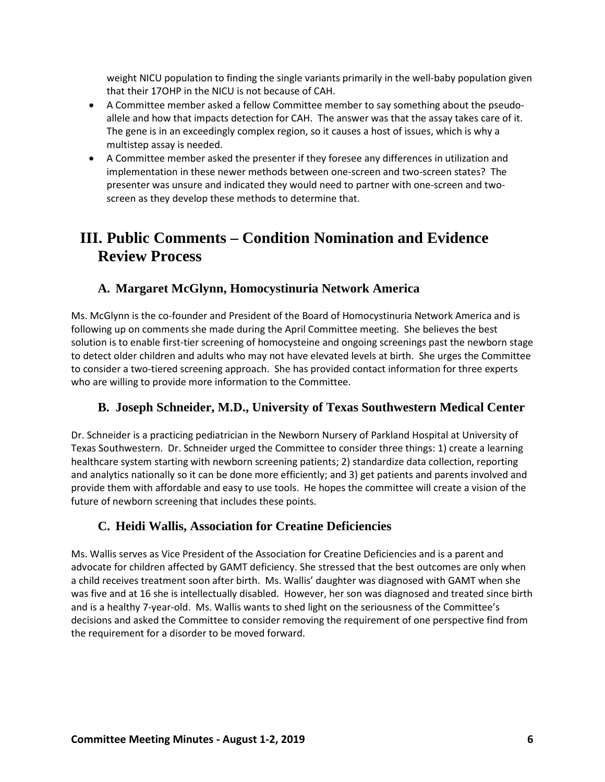weight NICU population to finding the single variants primarily in the well-baby population given that their 17OHP in the NICU is not because of CAH.

- A Committee member asked a fellow Committee member to say something about the pseudoallele and how that impacts detection for CAH. The answer was that the assay takes care of it. The gene is in an exceedingly complex region, so it causes a host of issues, which is why a multistep assay is needed.
- A Committee member asked the presenter if they foresee any differences in utilization and implementation in these newer methods between one-screen and two-screen states? The presenter was unsure and indicated they would need to partner with one-screen and twoscreen as they develop these methods to determine that.

# <span id="page-8-0"></span>**III. Public Comments – Condition Nomination and Evidence Review Process**

## <span id="page-8-1"></span>**A. Margaret McGlynn, Homocystinuria Network America**

Ms. McGlynn is the co-founder and President of the Board of Homocystinuria Network America and is following up on comments she made during the April Committee meeting. She believes the best solution is to enable first-tier screening of homocysteine and ongoing screenings past the newborn stage to detect older children and adults who may not have elevated levels at birth. She urges the Committee to consider a two-tiered screening approach. She has provided contact information for three experts who are willing to provide more information to the Committee.

## <span id="page-8-2"></span>**B. Joseph Schneider, M.D., University of Texas Southwestern Medical Center**

Dr. Schneider is a practicing pediatrician in the Newborn Nursery of Parkland Hospital at University of Texas Southwestern. Dr. Schneider urged the Committee to consider three things: 1) create a learning healthcare system starting with newborn screening patients; 2) standardize data collection, reporting and analytics nationally so it can be done more efficiently; and 3) get patients and parents involved and provide them with affordable and easy to use tools. He hopes the committee will create a vision of the future of newborn screening that includes these points.

## <span id="page-8-3"></span>**C. Heidi Wallis, Association for Creatine Deficiencies**

Ms. Wallis serves as Vice President of the Association for Creatine Deficiencies and is a parent and advocate for children affected by GAMT deficiency. She stressed that the best outcomes are only when a child receives treatment soon after birth. Ms. Wallis' daughter was diagnosed with GAMT when she was five and at 16 she is intellectually disabled. However, her son was diagnosed and treated since birth and is a healthy 7-year-old. Ms. Wallis wants to shed light on the seriousness of the Committee's decisions and asked the Committee to consider removing the requirement of one perspective find from the requirement for a disorder to be moved forward.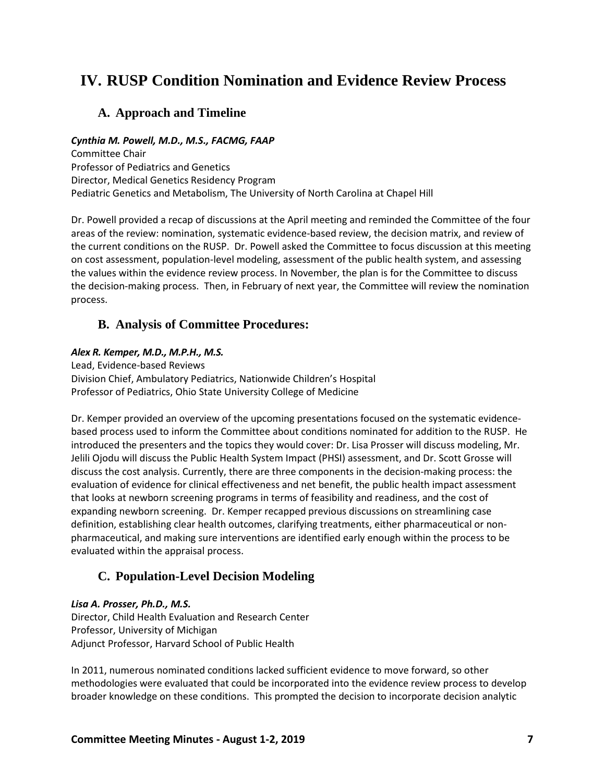# <span id="page-9-0"></span>**IV. RUSP Condition Nomination and Evidence Review Process**

## <span id="page-9-1"></span>**A. Approach and Timeline**

### *Cynthia M. Powell, M.D., M.S., FACMG, FAAP*

Committee Chair Professor of Pediatrics and Genetics Director, Medical Genetics Residency Program Pediatric Genetics and Metabolism, The University of North Carolina at Chapel Hill

Dr. Powell provided a recap of discussions at the April meeting and reminded the Committee of the four areas of the review: nomination, systematic evidence-based review, the decision matrix, and review of the current conditions on the RUSP. Dr. Powell asked the Committee to focus discussion at this meeting on cost assessment, population-level modeling, assessment of the public health system, and assessing the values within the evidence review process. In November, the plan is for the Committee to discuss the decision-making process. Then, in February of next year, the Committee will review the nomination process.

### <span id="page-9-2"></span>**B. Analysis of Committee Procedures:**

#### *Alex R. Kemper, M.D., M.P.H., M.S.*

Lead, Evidence-based Reviews Division Chief, Ambulatory Pediatrics, Nationwide Children's Hospital Professor of Pediatrics, Ohio State University College of Medicine

Dr. Kemper provided an overview of the upcoming presentations focused on the systematic evidencebased process used to inform the Committee about conditions nominated for addition to the RUSP. He introduced the presenters and the topics they would cover: Dr. Lisa Prosser will discuss modeling, Mr. Jelili Ojodu will discuss the Public Health System Impact (PHSI) assessment, and Dr. Scott Grosse will discuss the cost analysis. Currently, there are three components in the decision-making process: the evaluation of evidence for clinical effectiveness and net benefit, the public health impact assessment that looks at newborn screening programs in terms of feasibility and readiness, and the cost of expanding newborn screening. Dr. Kemper recapped previous discussions on streamlining case definition, establishing clear health outcomes, clarifying treatments, either pharmaceutical or nonpharmaceutical, and making sure interventions are identified early enough within the process to be evaluated within the appraisal process.

## <span id="page-9-3"></span>**C. Population-Level Decision Modeling**

#### *Lisa A. Prosser, Ph.D., M.S.*

Director, Child Health Evaluation and Research Center Professor, University of Michigan Adjunct Professor, Harvard School of Public Health

In 2011, numerous nominated conditions lacked sufficient evidence to move forward, so other methodologies were evaluated that could be incorporated into the evidence review process to develop broader knowledge on these conditions. This prompted the decision to incorporate decision analytic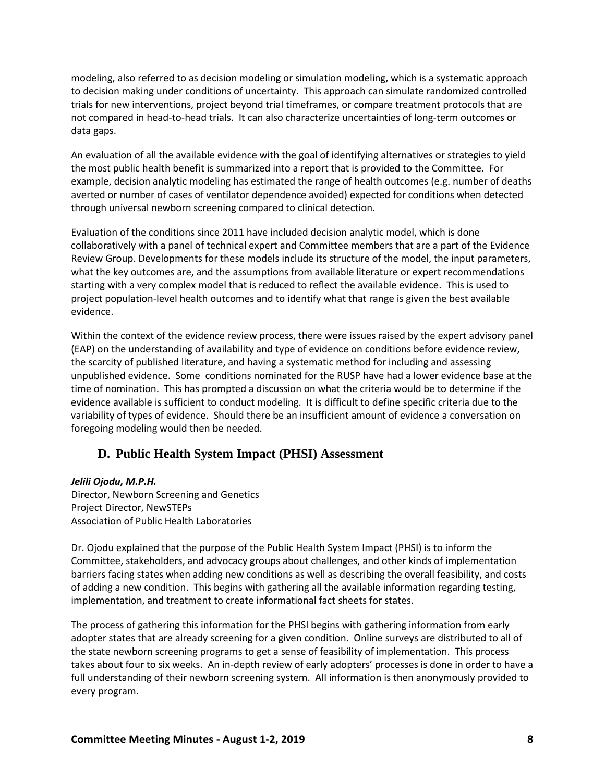modeling, also referred to as decision modeling or simulation modeling, which is a systematic approach to decision making under conditions of uncertainty. This approach can simulate randomized controlled trials for new interventions, project beyond trial timeframes, or compare treatment protocols that are not compared in head-to-head trials. It can also characterize uncertainties of long-term outcomes or data gaps.

An evaluation of all the available evidence with the goal of identifying alternatives or strategies to yield the most public health benefit is summarized into a report that is provided to the Committee. For example, decision analytic modeling has estimated the range of health outcomes (e.g. number of deaths averted or number of cases of ventilator dependence avoided) expected for conditions when detected through universal newborn screening compared to clinical detection.

Evaluation of the conditions since 2011 have included decision analytic model, which is done collaboratively with a panel of technical expert and Committee members that are a part of the Evidence Review Group. Developments for these models include its structure of the model, the input parameters, what the key outcomes are, and the assumptions from available literature or expert recommendations starting with a very complex model that is reduced to reflect the available evidence. This is used to project population-level health outcomes and to identify what that range is given the best available evidence.

Within the context of the evidence review process, there were issues raised by the expert advisory panel (EAP) on the understanding of availability and type of evidence on conditions before evidence review, the scarcity of published literature, and having a systematic method for including and assessing unpublished evidence. Some conditions nominated for the RUSP have had a lower evidence base at the time of nomination. This has prompted a discussion on what the criteria would be to determine if the evidence available is sufficient to conduct modeling. It is difficult to define specific criteria due to the variability of types of evidence. Should there be an insufficient amount of evidence a conversation on foregoing modeling would then be needed.

### <span id="page-10-0"></span>**D. Public Health System Impact (PHSI) Assessment**

#### *Jelili Ojodu, M.P.H.*

Director, Newborn Screening and Genetics Project Director, NewSTEPs Association of Public Health Laboratories

Dr. Ojodu explained that the purpose of the Public Health System Impact (PHSI) is to inform the Committee, stakeholders, and advocacy groups about challenges, and other kinds of implementation barriers facing states when adding new conditions as well as describing the overall feasibility, and costs of adding a new condition. This begins with gathering all the available information regarding testing, implementation, and treatment to create informational fact sheets for states.

The process of gathering this information for the PHSI begins with gathering information from early adopter states that are already screening for a given condition. Online surveys are distributed to all of the state newborn screening programs to get a sense of feasibility of implementation. This process takes about four to six weeks. An in-depth review of early adopters' processes is done in order to have a full understanding of their newborn screening system. All information is then anonymously provided to every program.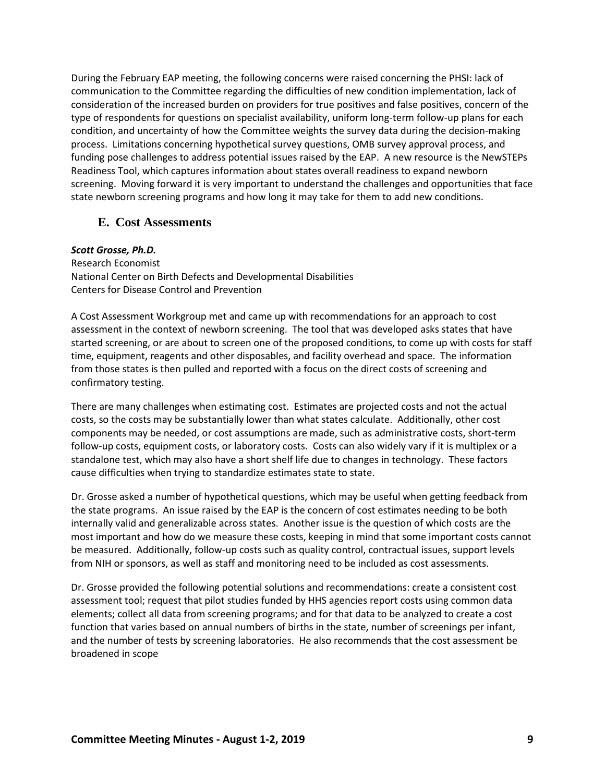During the February EAP meeting, the following concerns were raised concerning the PHSI: lack of communication to the Committee regarding the difficulties of new condition implementation, lack of consideration of the increased burden on providers for true positives and false positives, concern of the type of respondents for questions on specialist availability, uniform long-term follow-up plans for each condition, and uncertainty of how the Committee weights the survey data during the decision-making process. Limitations concerning hypothetical survey questions, OMB survey approval process, and funding pose challenges to address potential issues raised by the EAP. A new resource is the NewSTEPs Readiness Tool, which captures information about states overall readiness to expand newborn screening. Moving forward it is very important to understand the challenges and opportunities that face state newborn screening programs and how long it may take for them to add new conditions.

### <span id="page-11-0"></span>**E. Cost Assessments**

#### *Scott Grosse, Ph.D.*

Research Economist National Center on Birth Defects and Developmental Disabilities Centers for Disease Control and Prevention

A Cost Assessment Workgroup met and came up with recommendations for an approach to cost assessment in the context of newborn screening. The tool that was developed asks states that have started screening, or are about to screen one of the proposed conditions, to come up with costs for staff time, equipment, reagents and other disposables, and facility overhead and space. The information from those states is then pulled and reported with a focus on the direct costs of screening and confirmatory testing.

There are many challenges when estimating cost. Estimates are projected costs and not the actual costs, so the costs may be substantially lower than what states calculate. Additionally, other cost components may be needed, or cost assumptions are made, such as administrative costs, short-term follow-up costs, equipment costs, or laboratory costs. Costs can also widely vary if it is multiplex or a standalone test, which may also have a short shelf life due to changes in technology. These factors cause difficulties when trying to standardize estimates state to state.

Dr. Grosse asked a number of hypothetical questions, which may be useful when getting feedback from the state programs. An issue raised by the EAP is the concern of cost estimates needing to be both internally valid and generalizable across states. Another issue is the question of which costs are the most important and how do we measure these costs, keeping in mind that some important costs cannot be measured. Additionally, follow-up costs such as quality control, contractual issues, support levels from NIH or sponsors, as well as staff and monitoring need to be included as cost assessments.

Dr. Grosse provided the following potential solutions and recommendations: create a consistent cost assessment tool; request that pilot studies funded by HHS agencies report costs using common data elements; collect all data from screening programs; and for that data to be analyzed to create a cost function that varies based on annual numbers of births in the state, number of screenings per infant, and the number of tests by screening laboratories. He also recommends that the cost assessment be broadened in scope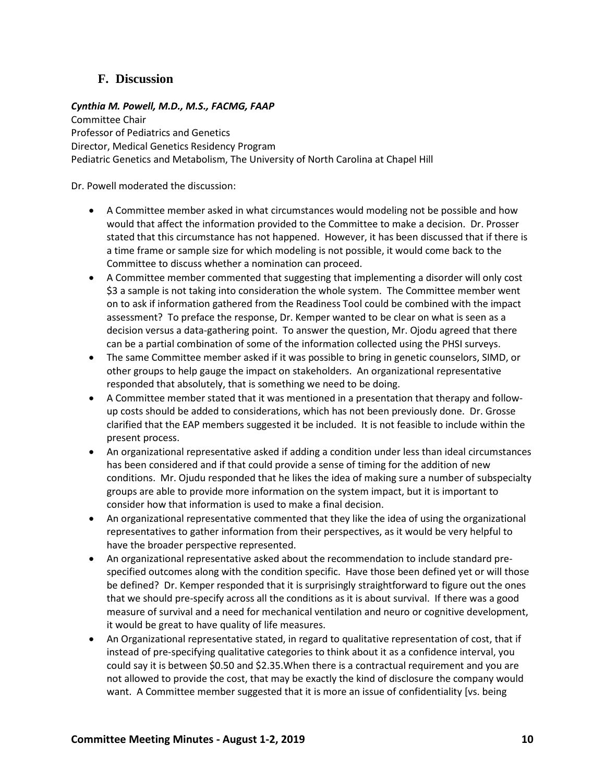## <span id="page-12-0"></span>**F. Discussion**

### *Cynthia M. Powell, M.D., M.S., FACMG, FAAP*

Committee Chair Professor of Pediatrics and Genetics Director, Medical Genetics Residency Program Pediatric Genetics and Metabolism, The University of North Carolina at Chapel Hill

Dr. Powell moderated the discussion:

- A Committee member asked in what circumstances would modeling not be possible and how would that affect the information provided to the Committee to make a decision. Dr. Prosser stated that this circumstance has not happened. However, it has been discussed that if there is a time frame or sample size for which modeling is not possible, it would come back to the Committee to discuss whether a nomination can proceed.
- A Committee member commented that suggesting that implementing a disorder will only cost \$3 a sample is not taking into consideration the whole system. The Committee member went on to ask if information gathered from the Readiness Tool could be combined with the impact assessment? To preface the response, Dr. Kemper wanted to be clear on what is seen as a decision versus a data-gathering point. To answer the question, Mr. Ojodu agreed that there can be a partial combination of some of the information collected using the PHSI surveys.
- The same Committee member asked if it was possible to bring in genetic counselors, SIMD, or other groups to help gauge the impact on stakeholders. An organizational representative responded that absolutely, that is something we need to be doing.
- A Committee member stated that it was mentioned in a presentation that therapy and followup costs should be added to considerations, which has not been previously done. Dr. Grosse clarified that the EAP members suggested it be included. It is not feasible to include within the present process.
- An organizational representative asked if adding a condition under less than ideal circumstances has been considered and if that could provide a sense of timing for the addition of new conditions. Mr. Ojudu responded that he likes the idea of making sure a number of subspecialty groups are able to provide more information on the system impact, but it is important to consider how that information is used to make a final decision.
- An organizational representative commented that they like the idea of using the organizational representatives to gather information from their perspectives, as it would be very helpful to have the broader perspective represented.
- An organizational representative asked about the recommendation to include standard prespecified outcomes along with the condition specific. Have those been defined yet or will those be defined? Dr. Kemper responded that it is surprisingly straightforward to figure out the ones that we should pre-specify across all the conditions as it is about survival. If there was a good measure of survival and a need for mechanical ventilation and neuro or cognitive development, it would be great to have quality of life measures.
- An Organizational representative stated, in regard to qualitative representation of cost, that if instead of pre-specifying qualitative categories to think about it as a confidence interval, you could say it is between \$0.50 and \$2.35.When there is a contractual requirement and you are not allowed to provide the cost, that may be exactly the kind of disclosure the company would want. A Committee member suggested that it is more an issue of confidentiality [vs. being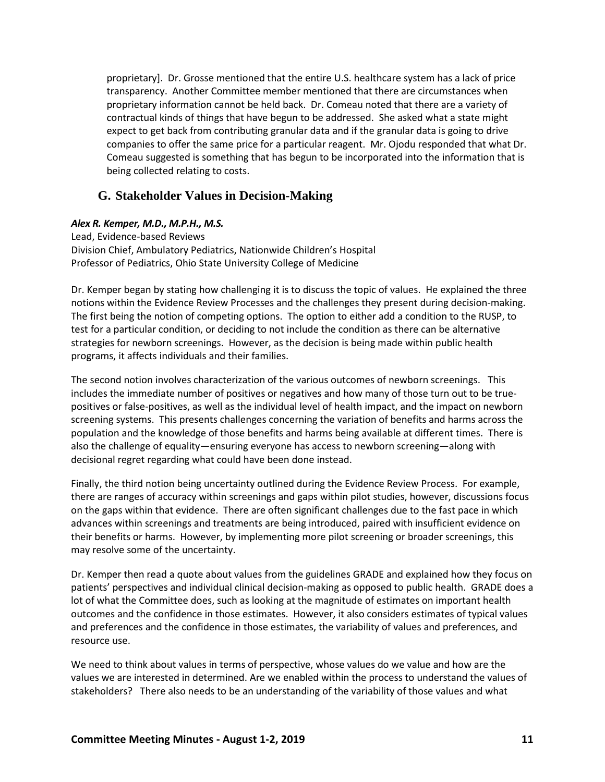proprietary]. Dr. Grosse mentioned that the entire U.S. healthcare system has a lack of price transparency. Another Committee member mentioned that there are circumstances when proprietary information cannot be held back. Dr. Comeau noted that there are a variety of contractual kinds of things that have begun to be addressed. She asked what a state might expect to get back from contributing granular data and if the granular data is going to drive companies to offer the same price for a particular reagent. Mr. Ojodu responded that what Dr. Comeau suggested is something that has begun to be incorporated into the information that is being collected relating to costs.

### <span id="page-13-0"></span>**G. Stakeholder Values in Decision-Making**

#### *Alex R. Kemper, M.D., M.P.H., M.S.*

Lead, Evidence-based Reviews Division Chief, Ambulatory Pediatrics, Nationwide Children's Hospital Professor of Pediatrics, Ohio State University College of Medicine

Dr. Kemper began by stating how challenging it is to discuss the topic of values. He explained the three notions within the Evidence Review Processes and the challenges they present during decision-making. The first being the notion of competing options. The option to either add a condition to the RUSP, to test for a particular condition, or deciding to not include the condition as there can be alternative strategies for newborn screenings. However, as the decision is being made within public health programs, it affects individuals and their families.

The second notion involves characterization of the various outcomes of newborn screenings. This includes the immediate number of positives or negatives and how many of those turn out to be truepositives or false-positives, as well as the individual level of health impact, and the impact on newborn screening systems. This presents challenges concerning the variation of benefits and harms across the population and the knowledge of those benefits and harms being available at different times. There is also the challenge of equality—ensuring everyone has access to newborn screening—along with decisional regret regarding what could have been done instead.

Finally, the third notion being uncertainty outlined during the Evidence Review Process. For example, there are ranges of accuracy within screenings and gaps within pilot studies, however, discussions focus on the gaps within that evidence. There are often significant challenges due to the fast pace in which advances within screenings and treatments are being introduced, paired with insufficient evidence on their benefits or harms. However, by implementing more pilot screening or broader screenings, this may resolve some of the uncertainty.

Dr. Kemper then read a quote about values from the guidelines GRADE and explained how they focus on patients' perspectives and individual clinical decision-making as opposed to public health. GRADE does a lot of what the Committee does, such as looking at the magnitude of estimates on important health outcomes and the confidence in those estimates. However, it also considers estimates of typical values and preferences and the confidence in those estimates, the variability of values and preferences, and resource use.

We need to think about values in terms of perspective, whose values do we value and how are the values we are interested in determined. Are we enabled within the process to understand the values of stakeholders? There also needs to be an understanding of the variability of those values and what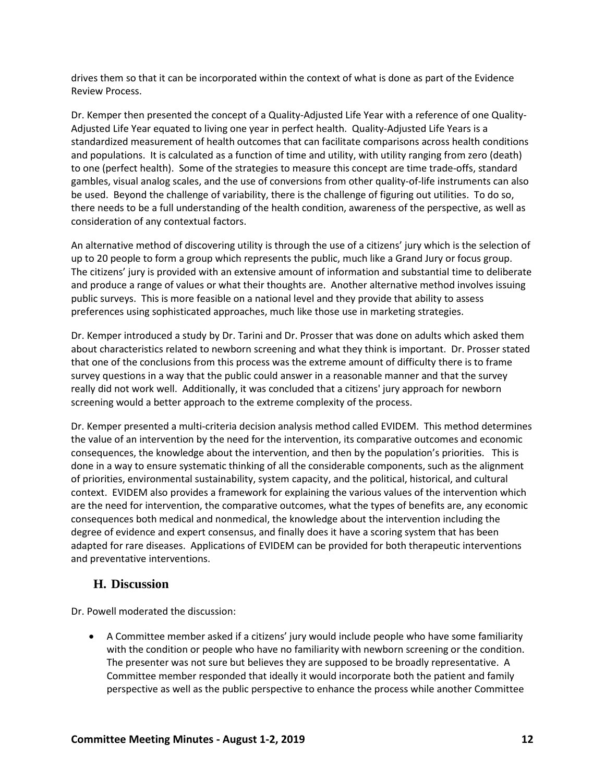drives them so that it can be incorporated within the context of what is done as part of the Evidence Review Process.

Dr. Kemper then presented the concept of a Quality-Adjusted Life Year with a reference of one Quality-Adjusted Life Year equated to living one year in perfect health. Quality-Adjusted Life Years is a standardized measurement of health outcomes that can facilitate comparisons across health conditions and populations. It is calculated as a function of time and utility, with utility ranging from zero (death) to one (perfect health). Some of the strategies to measure this concept are time trade-offs, standard gambles, visual analog scales, and the use of conversions from other quality-of-life instruments can also be used. Beyond the challenge of variability, there is the challenge of figuring out utilities. To do so, there needs to be a full understanding of the health condition, awareness of the perspective, as well as consideration of any contextual factors.

An alternative method of discovering utility is through the use of a citizens' jury which is the selection of up to 20 people to form a group which represents the public, much like a Grand Jury or focus group. The citizens' jury is provided with an extensive amount of information and substantial time to deliberate and produce a range of values or what their thoughts are. Another alternative method involves issuing public surveys. This is more feasible on a national level and they provide that ability to assess preferences using sophisticated approaches, much like those use in marketing strategies.

Dr. Kemper introduced a study by Dr. Tarini and Dr. Prosser that was done on adults which asked them about characteristics related to newborn screening and what they think is important. Dr. Prosser stated that one of the conclusions from this process was the extreme amount of difficulty there is to frame survey questions in a way that the public could answer in a reasonable manner and that the survey really did not work well. Additionally, it was concluded that a citizens' jury approach for newborn screening would a better approach to the extreme complexity of the process.

Dr. Kemper presented a multi-criteria decision analysis method called EVIDEM. This method determines the value of an intervention by the need for the intervention, its comparative outcomes and economic consequences, the knowledge about the intervention, and then by the population's priorities. This is done in a way to ensure systematic thinking of all the considerable components, such as the alignment of priorities, environmental sustainability, system capacity, and the political, historical, and cultural context. EVIDEM also provides a framework for explaining the various values of the intervention which are the need for intervention, the comparative outcomes, what the types of benefits are, any economic consequences both medical and nonmedical, the knowledge about the intervention including the degree of evidence and expert consensus, and finally does it have a scoring system that has been adapted for rare diseases. Applications of EVIDEM can be provided for both therapeutic interventions and preventative interventions.

## <span id="page-14-0"></span>**H. Discussion**

Dr. Powell moderated the discussion:

• A Committee member asked if a citizens' jury would include people who have some familiarity with the condition or people who have no familiarity with newborn screening or the condition. The presenter was not sure but believes they are supposed to be broadly representative. A Committee member responded that ideally it would incorporate both the patient and family perspective as well as the public perspective to enhance the process while another Committee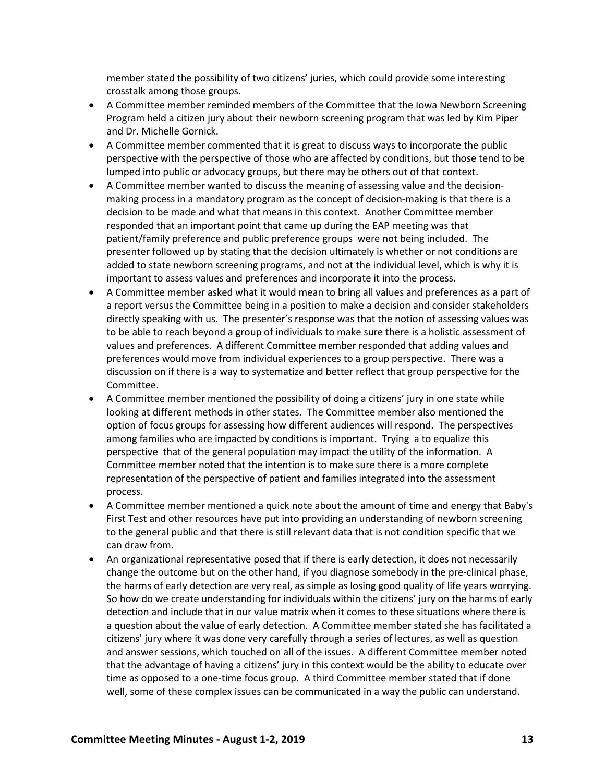member stated the possibility of two citizens' juries, which could provide some interesting crosstalk among those groups.

- A Committee member reminded members of the Committee that the Iowa Newborn Screening Program held a citizen jury about their newborn screening program that was led by Kim Piper and Dr. Michelle Gornick.
- A Committee member commented that it is great to discuss ways to incorporate the public perspective with the perspective of those who are affected by conditions, but those tend to be lumped into public or advocacy groups, but there may be others out of that context.
- A Committee member wanted to discuss the meaning of assessing value and the decisionmaking process in a mandatory program as the concept of decision-making is that there is a decision to be made and what that means in this context. Another Committee member responded that an important point that came up during the EAP meeting was that patient/family preference and public preference groups were not being included. The presenter followed up by stating that the decision ultimately is whether or not conditions are added to state newborn screening programs, and not at the individual level, which is why it is important to assess values and preferences and incorporate it into the process.
- A Committee member asked what it would mean to bring all values and preferences as a part of a report versus the Committee being in a position to make a decision and consider stakeholders directly speaking with us. The presenter's response was that the notion of assessing values was to be able to reach beyond a group of individuals to make sure there is a holistic assessment of values and preferences. A different Committee member responded that adding values and preferences would move from individual experiences to a group perspective. There was a discussion on if there is a way to systematize and better reflect that group perspective for the Committee.
- A Committee member mentioned the possibility of doing a citizens' jury in one state while looking at different methods in other states. The Committee member also mentioned the option of focus groups for assessing how different audiences will respond. The perspectives among families who are impacted by conditions is important. Trying a to equalize this perspective that of the general population may impact the utility of the information. A Committee member noted that the intention is to make sure there is a more complete representation of the perspective of patient and families integrated into the assessment process.
- A Committee member mentioned a quick note about the amount of time and energy that Baby's First Test and other resources have put into providing an understanding of newborn screening to the general public and that there is still relevant data that is not condition specific that we can draw from.
- An organizational representative posed that if there is early detection, it does not necessarily change the outcome but on the other hand, if you diagnose somebody in the pre-clinical phase, the harms of early detection are very real, as simple as losing good quality of life years worrying. So how do we create understanding for individuals within the citizens' jury on the harms of early detection and include that in our value matrix when it comes to these situations where there is a question about the value of early detection. A Committee member stated she has facilitated a citizens' jury where it was done very carefully through a series of lectures, as well as question and answer sessions, which touched on all of the issues. A different Committee member noted that the advantage of having a citizens' jury in this context would be the ability to educate over time as opposed to a one-time focus group. A third Committee member stated that if done well, some of these complex issues can be communicated in a way the public can understand.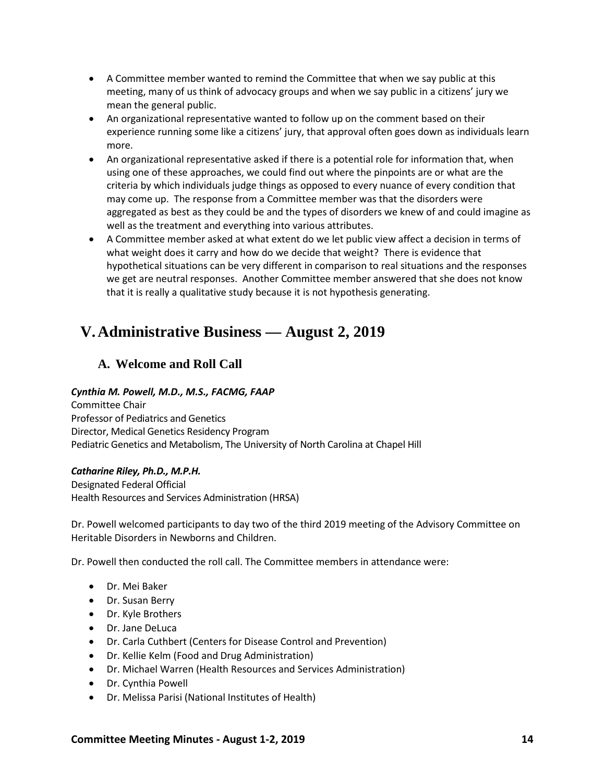- A Committee member wanted to remind the Committee that when we say public at this meeting, many of us think of advocacy groups and when we say public in a citizens' jury we mean the general public.
- An organizational representative wanted to follow up on the comment based on their experience running some like a citizens' jury, that approval often goes down as individuals learn more.
- An organizational representative asked if there is a potential role for information that, when using one of these approaches, we could find out where the pinpoints are or what are the criteria by which individuals judge things as opposed to every nuance of every condition that may come up. The response from a Committee member was that the disorders were aggregated as best as they could be and the types of disorders we knew of and could imagine as well as the treatment and everything into various attributes.
- A Committee member asked at what extent do we let public view affect a decision in terms of what weight does it carry and how do we decide that weight? There is evidence that hypothetical situations can be very different in comparison to real situations and the responses we get are neutral responses. Another Committee member answered that she does not know that it is really a qualitative study because it is not hypothesis generating.

## <span id="page-16-0"></span>**V.Administrative Business — August 2, 2019**

## <span id="page-16-1"></span>**A. Welcome and Roll Call**

### *Cynthia M. Powell, M.D., M.S., FACMG, FAAP*

Committee Chair Professor of Pediatrics and Genetics Director, Medical Genetics Residency Program Pediatric Genetics and Metabolism, The University of North Carolina at Chapel Hill

### *Catharine Riley, Ph.D., M.P.H.*

Designated Federal Official Health Resources and Services Administration (HRSA)

Dr. Powell welcomed participants to day two of the third 2019 meeting of the Advisory Committee on Heritable Disorders in Newborns and Children.

Dr. Powell then conducted the roll call. The Committee members in attendance were:

- Dr. Mei Baker
- Dr. Susan Berry
- Dr. Kyle Brothers
- Dr. Jane DeLuca
- Dr. Carla Cuthbert (Centers for Disease Control and Prevention)
- Dr. Kellie Kelm (Food and Drug Administration)
- Dr. Michael Warren (Health Resources and Services Administration)
- Dr. Cynthia Powell
- Dr. Melissa Parisi (National Institutes of Health)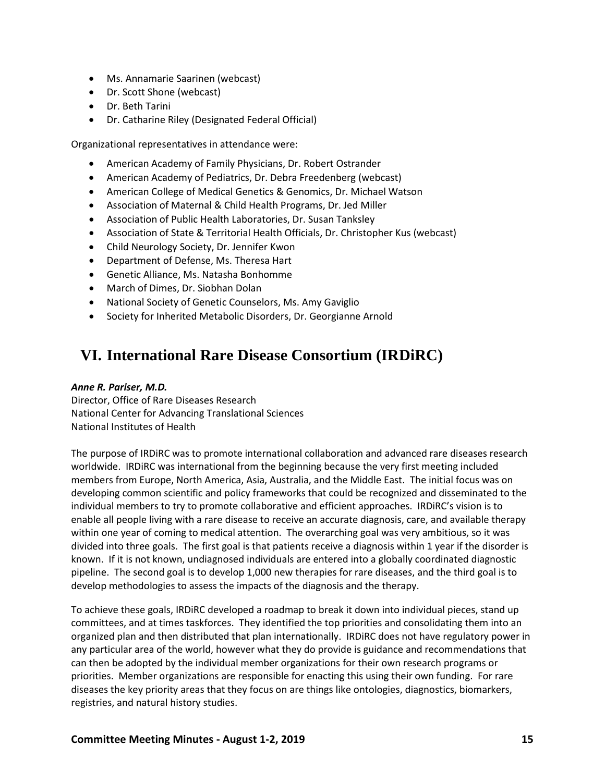- Ms. Annamarie Saarinen (webcast)
- Dr. Scott Shone (webcast)
- Dr. Beth Tarini
- Dr. Catharine Riley (Designated Federal Official)

Organizational representatives in attendance were:

- American Academy of Family Physicians, Dr. Robert Ostrander
- American Academy of Pediatrics, Dr. Debra Freedenberg (webcast)
- American College of Medical Genetics & Genomics, Dr. Michael Watson
- Association of Maternal & Child Health Programs, Dr. Jed Miller
- Association of Public Health Laboratories, Dr. Susan Tanksley
- Association of State & Territorial Health Officials, Dr. Christopher Kus (webcast)
- Child Neurology Society, Dr. Jennifer Kwon
- Department of Defense, Ms. Theresa Hart
- Genetic Alliance, Ms. Natasha Bonhomme
- March of Dimes, Dr. Siobhan Dolan
- National Society of Genetic Counselors, Ms. Amy Gaviglio
- Society for Inherited Metabolic Disorders, Dr. Georgianne Arnold

# <span id="page-17-0"></span>**VI. International Rare Disease Consortium (IRDiRC)**

#### *Anne R. Pariser, M.D.*

Director, Office of Rare Diseases Research National Center for Advancing Translational Sciences National Institutes of Health

The purpose of IRDiRC was to promote international collaboration and advanced rare diseases research worldwide. IRDiRC was international from the beginning because the very first meeting included members from Europe, North America, Asia, Australia, and the Middle East. The initial focus was on developing common scientific and policy frameworks that could be recognized and disseminated to the individual members to try to promote collaborative and efficient approaches. IRDiRC's vision is to enable all people living with a rare disease to receive an accurate diagnosis, care, and available therapy within one year of coming to medical attention. The overarching goal was very ambitious, so it was divided into three goals. The first goal is that patients receive a diagnosis within 1 year if the disorder is known. If it is not known, undiagnosed individuals are entered into a globally coordinated diagnostic pipeline. The second goal is to develop 1,000 new therapies for rare diseases, and the third goal is to develop methodologies to assess the impacts of the diagnosis and the therapy.

To achieve these goals, IRDiRC developed a roadmap to break it down into individual pieces, stand up committees, and at times taskforces. They identified the top priorities and consolidating them into an organized plan and then distributed that plan internationally. IRDiRC does not have regulatory power in any particular area of the world, however what they do provide is guidance and recommendations that can then be adopted by the individual member organizations for their own research programs or priorities. Member organizations are responsible for enacting this using their own funding. For rare diseases the key priority areas that they focus on are things like ontologies, diagnostics, biomarkers, registries, and natural history studies.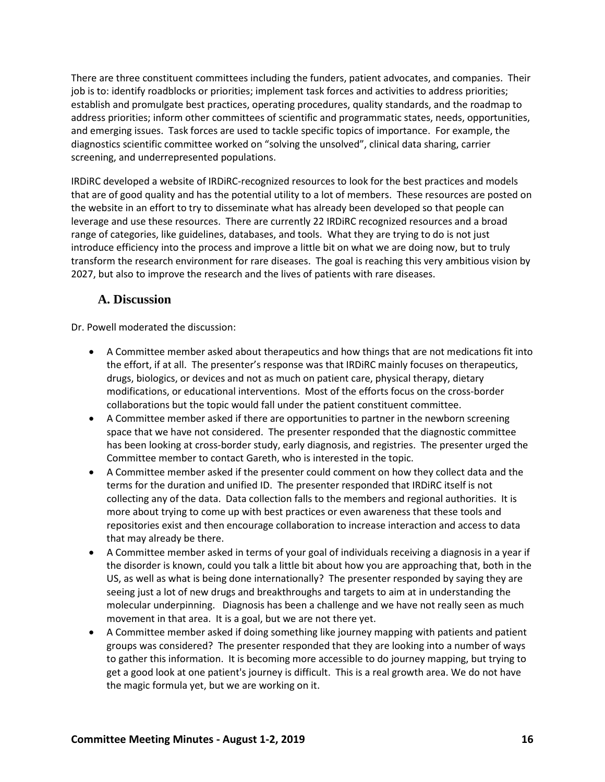There are three constituent committees including the funders, patient advocates, and companies. Their job is to: identify roadblocks or priorities; implement task forces and activities to address priorities; establish and promulgate best practices, operating procedures, quality standards, and the roadmap to address priorities; inform other committees of scientific and programmatic states, needs, opportunities, and emerging issues. Task forces are used to tackle specific topics of importance. For example, the diagnostics scientific committee worked on "solving the unsolved", clinical data sharing, carrier screening, and underrepresented populations.

IRDiRC developed a website of IRDiRC-recognized resources to look for the best practices and models that are of good quality and has the potential utility to a lot of members. These resources are posted on the website in an effort to try to disseminate what has already been developed so that people can leverage and use these resources. There are currently 22 IRDiRC recognized resources and a broad range of categories, like guidelines, databases, and tools. What they are trying to do is not just introduce efficiency into the process and improve a little bit on what we are doing now, but to truly transform the research environment for rare diseases. The goal is reaching this very ambitious vision by 2027, but also to improve the research and the lives of patients with rare diseases.

## <span id="page-18-0"></span>**A. Discussion**

Dr. Powell moderated the discussion:

- A Committee member asked about therapeutics and how things that are not medications fit into the effort, if at all. The presenter's response was that IRDiRC mainly focuses on therapeutics, drugs, biologics, or devices and not as much on patient care, physical therapy, dietary modifications, or educational interventions. Most of the efforts focus on the cross-border collaborations but the topic would fall under the patient constituent committee.
- A Committee member asked if there are opportunities to partner in the newborn screening space that we have not considered. The presenter responded that the diagnostic committee has been looking at cross-border study, early diagnosis, and registries. The presenter urged the Committee member to contact Gareth, who is interested in the topic.
- A Committee member asked if the presenter could comment on how they collect data and the terms for the duration and unified ID. The presenter responded that IRDiRC itself is not collecting any of the data. Data collection falls to the members and regional authorities. It is more about trying to come up with best practices or even awareness that these tools and repositories exist and then encourage collaboration to increase interaction and access to data that may already be there.
- A Committee member asked in terms of your goal of individuals receiving a diagnosis in a year if the disorder is known, could you talk a little bit about how you are approaching that, both in the US, as well as what is being done internationally? The presenter responded by saying they are seeing just a lot of new drugs and breakthroughs and targets to aim at in understanding the molecular underpinning. Diagnosis has been a challenge and we have not really seen as much movement in that area. It is a goal, but we are not there yet.
- A Committee member asked if doing something like journey mapping with patients and patient groups was considered? The presenter responded that they are looking into a number of ways to gather this information. It is becoming more accessible to do journey mapping, but trying to get a good look at one patient's journey is difficult. This is a real growth area. We do not have the magic formula yet, but we are working on it.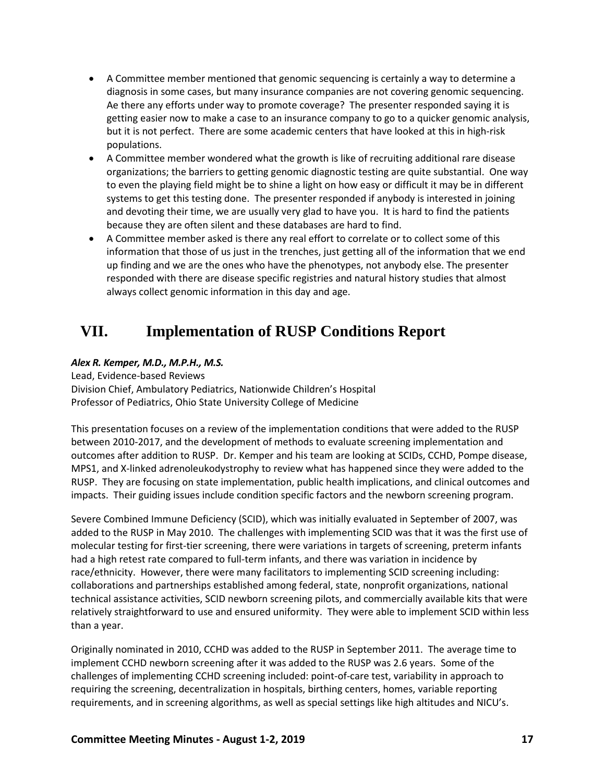- A Committee member mentioned that genomic sequencing is certainly a way to determine a diagnosis in some cases, but many insurance companies are not covering genomic sequencing. Ae there any efforts under way to promote coverage? The presenter responded saying it is getting easier now to make a case to an insurance company to go to a quicker genomic analysis, but it is not perfect. There are some academic centers that have looked at this in high-risk populations.
- A Committee member wondered what the growth is like of recruiting additional rare disease organizations; the barriers to getting genomic diagnostic testing are quite substantial. One way to even the playing field might be to shine a light on how easy or difficult it may be in different systems to get this testing done. The presenter responded if anybody is interested in joining and devoting their time, we are usually very glad to have you. It is hard to find the patients because they are often silent and these databases are hard to find.
- A Committee member asked is there any real effort to correlate or to collect some of this information that those of us just in the trenches, just getting all of the information that we end up finding and we are the ones who have the phenotypes, not anybody else. The presenter responded with there are disease specific registries and natural history studies that almost always collect genomic information in this day and age.

# <span id="page-19-0"></span>**VII. Implementation of RUSP Conditions Report**

### *Alex R. Kemper, M.D., M.P.H., M.S.*

Lead, Evidence-based Reviews Division Chief, Ambulatory Pediatrics, Nationwide Children's Hospital Professor of Pediatrics, Ohio State University College of Medicine

This presentation focuses on a review of the implementation conditions that were added to the RUSP between 2010-2017, and the development of methods to evaluate screening implementation and outcomes after addition to RUSP. Dr. Kemper and his team are looking at SCIDs, CCHD, Pompe disease, MPS1, and X-linked adrenoleukodystrophy to review what has happened since they were added to the RUSP. They are focusing on state implementation, public health implications, and clinical outcomes and impacts. Their guiding issues include condition specific factors and the newborn screening program.

Severe Combined Immune Deficiency (SCID), which was initially evaluated in September of 2007, was added to the RUSP in May 2010. The challenges with implementing SCID was that it was the first use of molecular testing for first-tier screening, there were variations in targets of screening, preterm infants had a high retest rate compared to full-term infants, and there was variation in incidence by race/ethnicity. However, there were many facilitators to implementing SCID screening including: collaborations and partnerships established among federal, state, nonprofit organizations, national technical assistance activities, SCID newborn screening pilots, and commercially available kits that were relatively straightforward to use and ensured uniformity. They were able to implement SCID within less than a year.

Originally nominated in 2010, CCHD was added to the RUSP in September 2011. The average time to implement CCHD newborn screening after it was added to the RUSP was 2.6 years. Some of the challenges of implementing CCHD screening included: point-of-care test, variability in approach to requiring the screening, decentralization in hospitals, birthing centers, homes, variable reporting requirements, and in screening algorithms, as well as special settings like high altitudes and NICU's.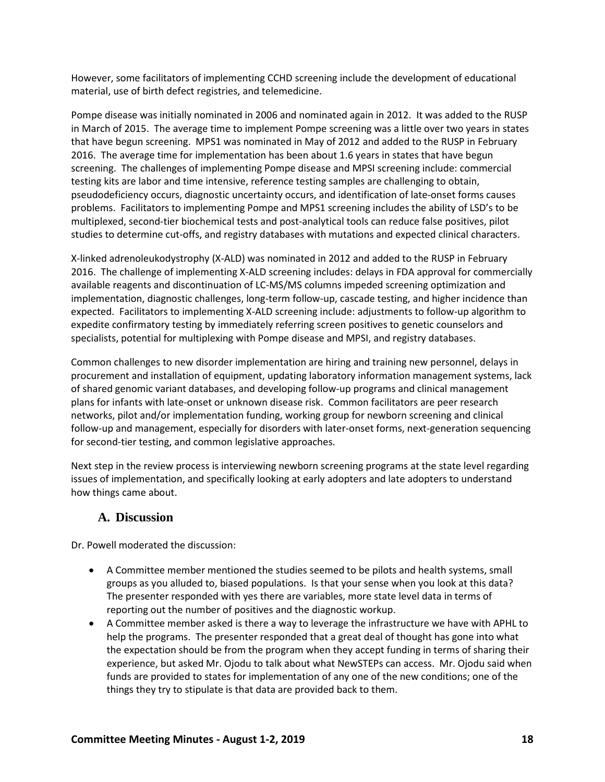However, some facilitators of implementing CCHD screening include the development of educational material, use of birth defect registries, and telemedicine.

Pompe disease was initially nominated in 2006 and nominated again in 2012. It was added to the RUSP in March of 2015. The average time to implement Pompe screening was a little over two years in states that have begun screening. MPS1 was nominated in May of 2012 and added to the RUSP in February 2016. The average time for implementation has been about 1.6 years in states that have begun screening. The challenges of implementing Pompe disease and MPSI screening include: commercial testing kits are labor and time intensive, reference testing samples are challenging to obtain, pseudodeficiency occurs, diagnostic uncertainty occurs, and identification of late-onset forms causes problems. Facilitators to implementing Pompe and MPS1 screening includes the ability of LSD's to be multiplexed, second-tier biochemical tests and post-analytical tools can reduce false positives, pilot studies to determine cut-offs, and registry databases with mutations and expected clinical characters.

X-linked adrenoleukodystrophy (X-ALD) was nominated in 2012 and added to the RUSP in February 2016. The challenge of implementing X-ALD screening includes: delays in FDA approval for commercially available reagents and discontinuation of LC-MS/MS columns impeded screening optimization and implementation, diagnostic challenges, long-term follow-up, cascade testing, and higher incidence than expected. Facilitators to implementing X-ALD screening include: adjustments to follow-up algorithm to expedite confirmatory testing by immediately referring screen positives to genetic counselors and specialists, potential for multiplexing with Pompe disease and MPSI, and registry databases.

Common challenges to new disorder implementation are hiring and training new personnel, delays in procurement and installation of equipment, updating laboratory information management systems, lack of shared genomic variant databases, and developing follow-up programs and clinical management plans for infants with late-onset or unknown disease risk. Common facilitators are peer research networks, pilot and/or implementation funding, working group for newborn screening and clinical follow-up and management, especially for disorders with later-onset forms, next-generation sequencing for second-tier testing, and common legislative approaches.

Next step in the review process is interviewing newborn screening programs at the state level regarding issues of implementation, and specifically looking at early adopters and late adopters to understand how things came about.

## <span id="page-20-0"></span>**A. Discussion**

Dr. Powell moderated the discussion:

- A Committee member mentioned the studies seemed to be pilots and health systems, small groups as you alluded to, biased populations. Is that your sense when you look at this data? The presenter responded with yes there are variables, more state level data in terms of reporting out the number of positives and the diagnostic workup.
- A Committee member asked is there a way to leverage the infrastructure we have with APHL to help the programs. The presenter responded that a great deal of thought has gone into what the expectation should be from the program when they accept funding in terms of sharing their experience, but asked Mr. Ojodu to talk about what NewSTEPs can access. Mr. Ojodu said when funds are provided to states for implementation of any one of the new conditions; one of the things they try to stipulate is that data are provided back to them.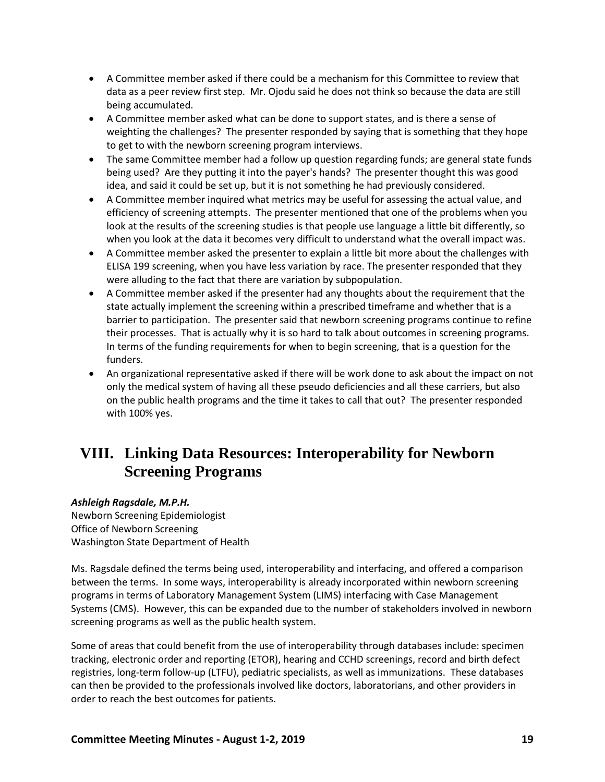- A Committee member asked if there could be a mechanism for this Committee to review that data as a peer review first step. Mr. Ojodu said he does not think so because the data are still being accumulated.
- A Committee member asked what can be done to support states, and is there a sense of weighting the challenges? The presenter responded by saying that is something that they hope to get to with the newborn screening program interviews.
- The same Committee member had a follow up question regarding funds; are general state funds being used? Are they putting it into the payer's hands? The presenter thought this was good idea, and said it could be set up, but it is not something he had previously considered.
- A Committee member inquired what metrics may be useful for assessing the actual value, and efficiency of screening attempts. The presenter mentioned that one of the problems when you look at the results of the screening studies is that people use language a little bit differently, so when you look at the data it becomes very difficult to understand what the overall impact was.
- A Committee member asked the presenter to explain a little bit more about the challenges with ELISA 199 screening, when you have less variation by race. The presenter responded that they were alluding to the fact that there are variation by subpopulation.
- A Committee member asked if the presenter had any thoughts about the requirement that the state actually implement the screening within a prescribed timeframe and whether that is a barrier to participation. The presenter said that newborn screening programs continue to refine their processes. That is actually why it is so hard to talk about outcomes in screening programs. In terms of the funding requirements for when to begin screening, that is a question for the funders.
- An organizational representative asked if there will be work done to ask about the impact on not only the medical system of having all these pseudo deficiencies and all these carriers, but also on the public health programs and the time it takes to call that out? The presenter responded with 100% yes.

# <span id="page-21-0"></span>**VIII. Linking Data Resources: Interoperability for Newborn Screening Programs**

### *Ashleigh Ragsdale, M.P.H.*

Newborn Screening Epidemiologist Office of Newborn Screening Washington State Department of Health

Ms. Ragsdale defined the terms being used, interoperability and interfacing, and offered a comparison between the terms. In some ways, interoperability is already incorporated within newborn screening programs in terms of Laboratory Management System (LIMS) interfacing with Case Management Systems (CMS). However, this can be expanded due to the number of stakeholders involved in newborn screening programs as well as the public health system.

Some of areas that could benefit from the use of interoperability through databases include: specimen tracking, electronic order and reporting (ETOR), hearing and CCHD screenings, record and birth defect registries, long-term follow-up (LTFU), pediatric specialists, as well as immunizations. These databases can then be provided to the professionals involved like doctors, laboratorians, and other providers in order to reach the best outcomes for patients.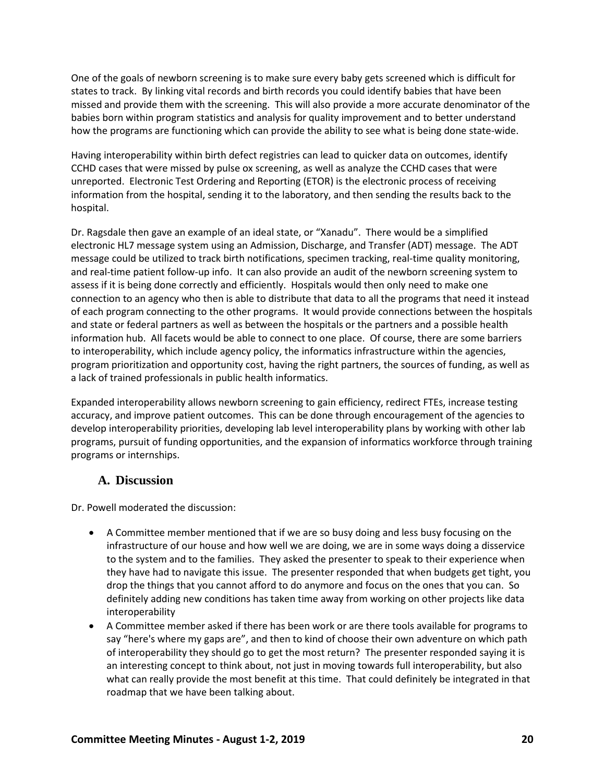One of the goals of newborn screening is to make sure every baby gets screened which is difficult for states to track. By linking vital records and birth records you could identify babies that have been missed and provide them with the screening. This will also provide a more accurate denominator of the babies born within program statistics and analysis for quality improvement and to better understand how the programs are functioning which can provide the ability to see what is being done state-wide.

Having interoperability within birth defect registries can lead to quicker data on outcomes, identify CCHD cases that were missed by pulse ox screening, as well as analyze the CCHD cases that were unreported. Electronic Test Ordering and Reporting (ETOR) is the electronic process of receiving information from the hospital, sending it to the laboratory, and then sending the results back to the hospital.

Dr. Ragsdale then gave an example of an ideal state, or "Xanadu". There would be a simplified electronic HL7 message system using an Admission, Discharge, and Transfer (ADT) message. The ADT message could be utilized to track birth notifications, specimen tracking, real-time quality monitoring, and real-time patient follow-up info. It can also provide an audit of the newborn screening system to assess if it is being done correctly and efficiently. Hospitals would then only need to make one connection to an agency who then is able to distribute that data to all the programs that need it instead of each program connecting to the other programs. It would provide connections between the hospitals and state or federal partners as well as between the hospitals or the partners and a possible health information hub. All facets would be able to connect to one place. Of course, there are some barriers to interoperability, which include agency policy, the informatics infrastructure within the agencies, program prioritization and opportunity cost, having the right partners, the sources of funding, as well as a lack of trained professionals in public health informatics.

Expanded interoperability allows newborn screening to gain efficiency, redirect FTEs, increase testing accuracy, and improve patient outcomes. This can be done through encouragement of the agencies to develop interoperability priorities, developing lab level interoperability plans by working with other lab programs, pursuit of funding opportunities, and the expansion of informatics workforce through training programs or internships.

## <span id="page-22-0"></span>**A. Discussion**

Dr. Powell moderated the discussion:

- A Committee member mentioned that if we are so busy doing and less busy focusing on the infrastructure of our house and how well we are doing, we are in some ways doing a disservice to the system and to the families. They asked the presenter to speak to their experience when they have had to navigate this issue. The presenter responded that when budgets get tight, you drop the things that you cannot afford to do anymore and focus on the ones that you can. So definitely adding new conditions has taken time away from working on other projects like data interoperability
- A Committee member asked if there has been work or are there tools available for programs to say "here's where my gaps are", and then to kind of choose their own adventure on which path of interoperability they should go to get the most return? The presenter responded saying it is an interesting concept to think about, not just in moving towards full interoperability, but also what can really provide the most benefit at this time. That could definitely be integrated in that roadmap that we have been talking about.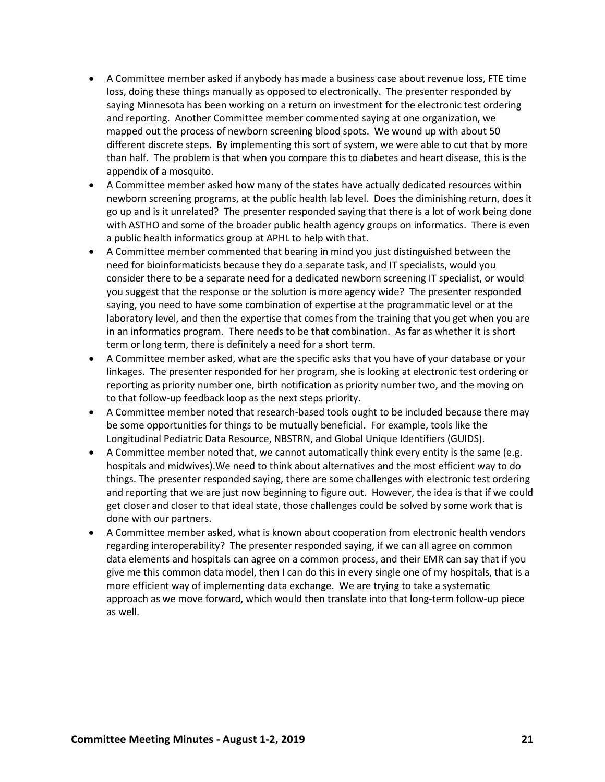- A Committee member asked if anybody has made a business case about revenue loss, FTE time loss, doing these things manually as opposed to electronically. The presenter responded by saying Minnesota has been working on a return on investment for the electronic test ordering and reporting. Another Committee member commented saying at one organization, we mapped out the process of newborn screening blood spots. We wound up with about 50 different discrete steps. By implementing this sort of system, we were able to cut that by more than half. The problem is that when you compare this to diabetes and heart disease, this is the appendix of a mosquito.
- A Committee member asked how many of the states have actually dedicated resources within newborn screening programs, at the public health lab level. Does the diminishing return, does it go up and is it unrelated? The presenter responded saying that there is a lot of work being done with ASTHO and some of the broader public health agency groups on informatics. There is even a public health informatics group at APHL to help with that.
- A Committee member commented that bearing in mind you just distinguished between the need for bioinformaticists because they do a separate task, and IT specialists, would you consider there to be a separate need for a dedicated newborn screening IT specialist, or would you suggest that the response or the solution is more agency wide? The presenter responded saying, you need to have some combination of expertise at the programmatic level or at the laboratory level, and then the expertise that comes from the training that you get when you are in an informatics program. There needs to be that combination. As far as whether it is short term or long term, there is definitely a need for a short term.
- A Committee member asked, what are the specific asks that you have of your database or your linkages. The presenter responded for her program, she is looking at electronic test ordering or reporting as priority number one, birth notification as priority number two, and the moving on to that follow-up feedback loop as the next steps priority.
- A Committee member noted that research-based tools ought to be included because there may be some opportunities for things to be mutually beneficial. For example, tools like the Longitudinal Pediatric Data Resource, NBSTRN, and Global Unique Identifiers (GUIDS).
- A Committee member noted that, we cannot automatically think every entity is the same (e.g. hospitals and midwives).We need to think about alternatives and the most efficient way to do things. The presenter responded saying, there are some challenges with electronic test ordering and reporting that we are just now beginning to figure out. However, the idea is that if we could get closer and closer to that ideal state, those challenges could be solved by some work that is done with our partners.
- A Committee member asked, what is known about cooperation from electronic health vendors regarding interoperability? The presenter responded saying, if we can all agree on common data elements and hospitals can agree on a common process, and their EMR can say that if you give me this common data model, then I can do this in every single one of my hospitals, that is a more efficient way of implementing data exchange. We are trying to take a systematic approach as we move forward, which would then translate into that long-term follow-up piece as well.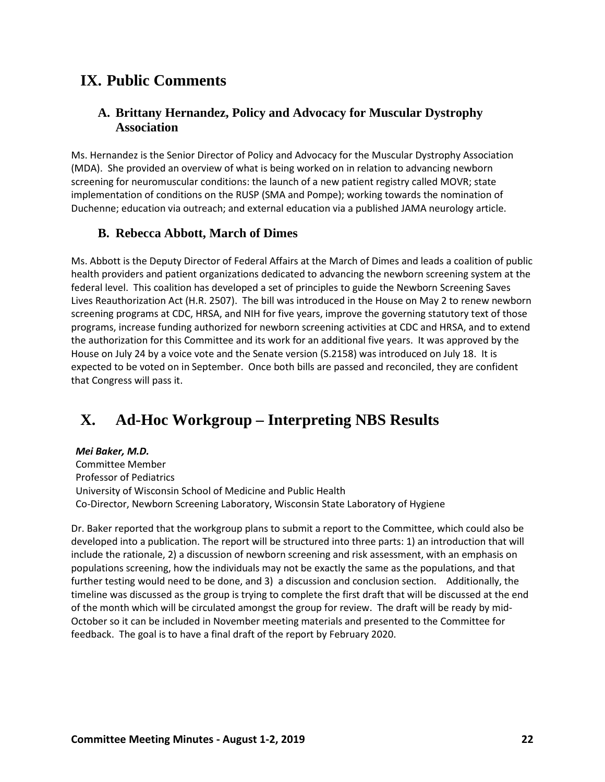## <span id="page-24-0"></span>**IX. Public Comments**

## <span id="page-24-1"></span>**A. Brittany Hernandez, Policy and Advocacy for Muscular Dystrophy Association**

Ms. Hernandez is the Senior Director of Policy and Advocacy for the Muscular Dystrophy Association (MDA). She provided an overview of what is being worked on in relation to advancing newborn screening for neuromuscular conditions: the launch of a new patient registry called MOVR; state implementation of conditions on the RUSP (SMA and Pompe); working towards the nomination of Duchenne; education via outreach; and external education via a published JAMA neurology article.

## <span id="page-24-2"></span>**B. Rebecca Abbott, March of Dimes**

Ms. Abbott is the Deputy Director of Federal Affairs at the March of Dimes and leads a coalition of public health providers and patient organizations dedicated to advancing the newborn screening system at the federal level. This coalition has developed a set of principles to guide the Newborn Screening Saves Lives Reauthorization Act (H.R. 2507). The bill was introduced in the House on May 2 to renew newborn screening programs at CDC, HRSA, and NIH for five years, improve the governing statutory text of those programs, increase funding authorized for newborn screening activities at CDC and HRSA, and to extend the authorization for this Committee and its work for an additional five years. It was approved by the House on July 24 by a voice vote and the Senate version (S.2158) was introduced on July 18. It is expected to be voted on in September. Once both bills are passed and reconciled, they are confident that Congress will pass it.

# <span id="page-24-3"></span>**X. Ad-Hoc Workgroup – Interpreting NBS Results**

#### *Mei Baker, M.D.*

Committee Member Professor of Pediatrics University of Wisconsin School of Medicine and Public Health Co-Director, Newborn Screening Laboratory, Wisconsin State Laboratory of Hygiene

Dr. Baker reported that the workgroup plans to submit a report to the Committee, which could also be developed into a publication. The report will be structured into three parts: 1) an introduction that will include the rationale, 2) a discussion of newborn screening and risk assessment, with an emphasis on populations screening, how the individuals may not be exactly the same as the populations, and that further testing would need to be done, and 3) a discussion and conclusion section. Additionally, the timeline was discussed as the group is trying to complete the first draft that will be discussed at the end of the month which will be circulated amongst the group for review. The draft will be ready by mid-October so it can be included in November meeting materials and presented to the Committee for feedback. The goal is to have a final draft of the report by February 2020.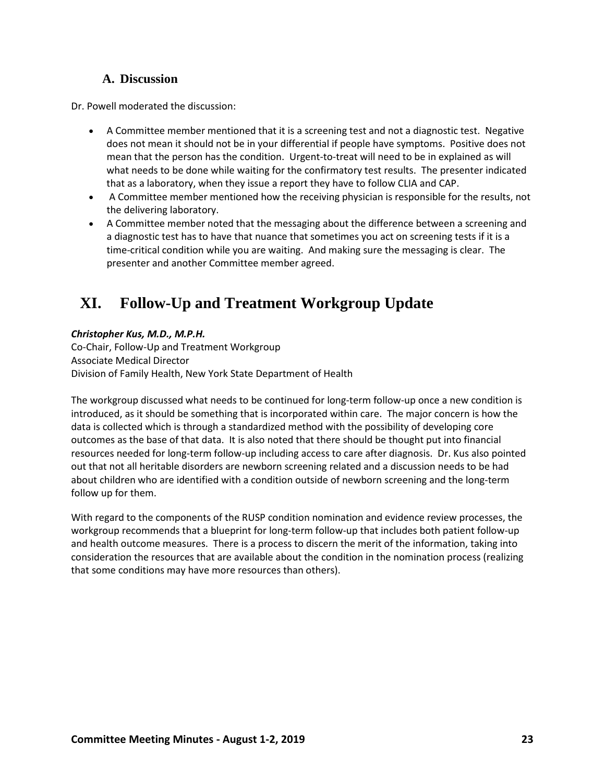## **A. Discussion**

<span id="page-25-0"></span>Dr. Powell moderated the discussion:

- A Committee member mentioned that it is a screening test and not a diagnostic test. Negative does not mean it should not be in your differential if people have symptoms. Positive does not mean that the person has the condition. Urgent-to-treat will need to be in explained as will what needs to be done while waiting for the confirmatory test results. The presenter indicated that as a laboratory, when they issue a report they have to follow CLIA and CAP.
- A Committee member mentioned how the receiving physician is responsible for the results, not the delivering laboratory.
- A Committee member noted that the messaging about the difference between a screening and a diagnostic test has to have that nuance that sometimes you act on screening tests if it is a time-critical condition while you are waiting. And making sure the messaging is clear. The presenter and another Committee member agreed.

# <span id="page-25-1"></span>**XI. Follow-Up and Treatment Workgroup Update**

### *Christopher Kus, M.D., M.P.H.*

Co-Chair, Follow-Up and Treatment Workgroup Associate Medical Director Division of Family Health, New York State Department of Health

The workgroup discussed what needs to be continued for long-term follow-up once a new condition is introduced, as it should be something that is incorporated within care. The major concern is how the data is collected which is through a standardized method with the possibility of developing core outcomes as the base of that data. It is also noted that there should be thought put into financial resources needed for long-term follow-up including access to care after diagnosis. Dr. Kus also pointed out that not all heritable disorders are newborn screening related and a discussion needs to be had about children who are identified with a condition outside of newborn screening and the long-term follow up for them.

With regard to the components of the RUSP condition nomination and evidence review processes, the workgroup recommends that a blueprint for long-term follow-up that includes both patient follow-up and health outcome measures. There is a process to discern the merit of the information, taking into consideration the resources that are available about the condition in the nomination process (realizing that some conditions may have more resources than others).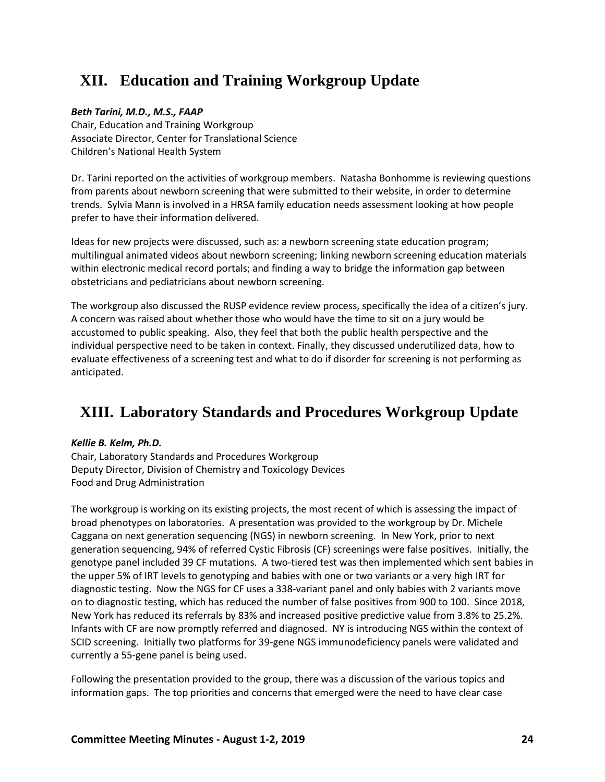# <span id="page-26-0"></span>**XII. Education and Training Workgroup Update**

### *Beth Tarini, M.D., M.S., FAAP*

Chair, Education and Training Workgroup Associate Director, Center for Translational Science Children's National Health System

Dr. Tarini reported on the activities of workgroup members. Natasha Bonhomme is reviewing questions from parents about newborn screening that were submitted to their website, in order to determine trends. Sylvia Mann is involved in a HRSA family education needs assessment looking at how people prefer to have their information delivered.

Ideas for new projects were discussed, such as: a newborn screening state education program; multilingual animated videos about newborn screening; linking newborn screening education materials within electronic medical record portals; and finding a way to bridge the information gap between obstetricians and pediatricians about newborn screening.

The workgroup also discussed the RUSP evidence review process, specifically the idea of a citizen's jury. A concern was raised about whether those who would have the time to sit on a jury would be accustomed to public speaking. Also, they feel that both the public health perspective and the individual perspective need to be taken in context. Finally, they discussed underutilized data, how to evaluate effectiveness of a screening test and what to do if disorder for screening is not performing as anticipated.

# <span id="page-26-1"></span>**XIII. Laboratory Standards and Procedures Workgroup Update**

### *Kellie B. Kelm, Ph.D.*

Chair, Laboratory Standards and Procedures Workgroup Deputy Director, Division of Chemistry and Toxicology Devices Food and Drug Administration

The workgroup is working on its existing projects, the most recent of which is assessing the impact of broad phenotypes on laboratories. A presentation was provided to the workgroup by Dr. Michele Caggana on next generation sequencing (NGS) in newborn screening. In New York, prior to next generation sequencing, 94% of referred Cystic Fibrosis (CF) screenings were false positives. Initially, the genotype panel included 39 CF mutations. A two-tiered test was then implemented which sent babies in the upper 5% of IRT levels to genotyping and babies with one or two variants or a very high IRT for diagnostic testing. Now the NGS for CF uses a 338-variant panel and only babies with 2 variants move on to diagnostic testing, which has reduced the number of false positives from 900 to 100. Since 2018, New York has reduced its referrals by 83% and increased positive predictive value from 3.8% to 25.2%. Infants with CF are now promptly referred and diagnosed. NY is introducing NGS within the context of SCID screening. Initially two platforms for 39-gene NGS immunodeficiency panels were validated and currently a 55-gene panel is being used.

Following the presentation provided to the group, there was a discussion of the various topics and information gaps. The top priorities and concerns that emerged were the need to have clear case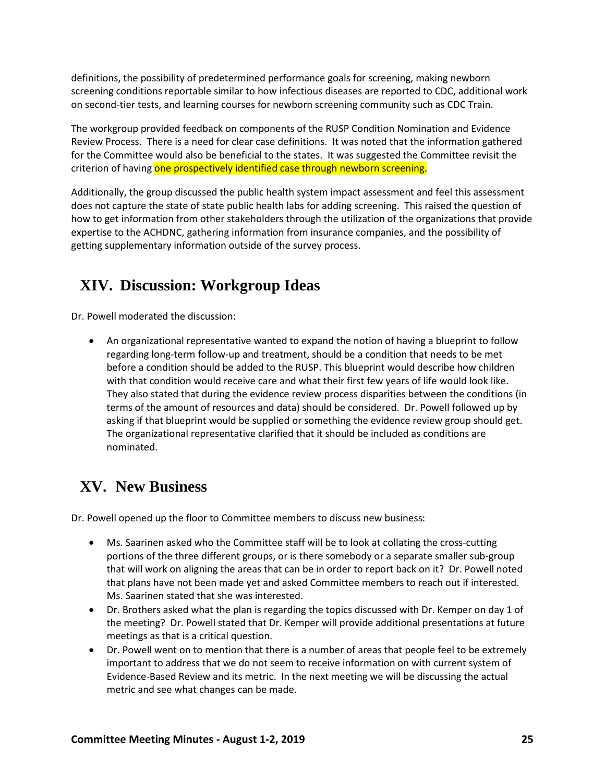definitions, the possibility of predetermined performance goals for screening, making newborn screening conditions reportable similar to how infectious diseases are reported to CDC, additional work on second-tier tests, and learning courses for newborn screening community such as CDC Train.

The workgroup provided feedback on components of the RUSP Condition Nomination and Evidence Review Process. There is a need for clear case definitions. It was noted that the information gathered for the Committee would also be beneficial to the states. It was suggested the Committee revisit the criterion of having one prospectively identified case through newborn screening.

Additionally, the group discussed the public health system impact assessment and feel this assessment does not capture the state of state public health labs for adding screening. This raised the question of how to get information from other stakeholders through the utilization of the organizations that provide expertise to the ACHDNC, gathering information from insurance companies, and the possibility of getting supplementary information outside of the survey process.

# <span id="page-27-0"></span>**XIV. Discussion: Workgroup Ideas**

Dr. Powell moderated the discussion:

• An organizational representative wanted to expand the notion of having a blueprint to follow regarding long-term follow-up and treatment, should be a condition that needs to be met before a condition should be added to the RUSP. This blueprint would describe how children with that condition would receive care and what their first few years of life would look like. They also stated that during the evidence review process disparities between the conditions (in terms of the amount of resources and data) should be considered. Dr. Powell followed up by asking if that blueprint would be supplied or something the evidence review group should get. The organizational representative clarified that it should be included as conditions are nominated.

# <span id="page-27-1"></span>**XV. New Business**

Dr. Powell opened up the floor to Committee members to discuss new business:

- Ms. Saarinen asked who the Committee staff will be to look at collating the cross-cutting portions of the three different groups, or is there somebody or a separate smaller sub-group that will work on aligning the areas that can be in order to report back on it? Dr. Powell noted that plans have not been made yet and asked Committee members to reach out if interested. Ms. Saarinen stated that she was interested.
- Dr. Brothers asked what the plan is regarding the topics discussed with Dr. Kemper on day 1 of the meeting? Dr. Powell stated that Dr. Kemper will provide additional presentations at future meetings as that is a critical question.
- Dr. Powell went on to mention that there is a number of areas that people feel to be extremely important to address that we do not seem to receive information on with current system of Evidence-Based Review and its metric. In the next meeting we will be discussing the actual metric and see what changes can be made.